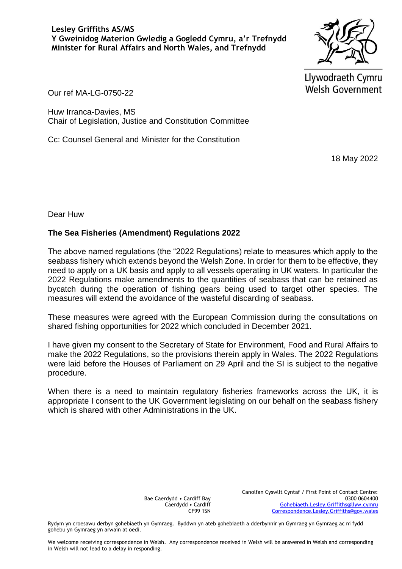Llywodraeth Cymru **Welsh Government** 

Our ref MA-LG-0750-22

Huw Irranca-Davies, MS Chair of Legislation, Justice and Constitution Committee

Cc: Counsel General and Minister for the Constitution

18 May 2022

Dear Huw

## **The Sea Fisheries (Amendment) Regulations 2022**

The above named regulations (the "2022 Regulations) relate to measures which apply to the seabass fishery which extends beyond the Welsh Zone. In order for them to be effective, they need to apply on a UK basis and apply to all vessels operating in UK waters. In particular the 2022 Regulations make amendments to the quantities of seabass that can be retained as bycatch during the operation of fishing gears being used to target other species. The measures will extend the avoidance of the wasteful discarding of seabass.

These measures were agreed with the European Commission during the consultations on shared fishing opportunities for 2022 which concluded in December 2021.

I have given my consent to the Secretary of State for Environment, Food and Rural Affairs to make the 2022 Regulations, so the provisions therein apply in Wales. The 2022 Regulations were laid before the Houses of Parliament on 29 April and the SI is subject to the negative procedure.

When there is a need to maintain regulatory fisheries frameworks across the UK, it is appropriate I consent to the UK Government legislating on our behalf on the seabass fishery which is shared with other Administrations in the UK.

> Bae Caerdydd • Cardiff Bay Caerdydd • Cardiff CF99 1SN

Canolfan Cyswllt Cyntaf / First Point of Contact Centre: 0300 0604400 [Gohebiaeth.Lesley.Griffiths@llyw.cymru](mailto:Gohebiaeth.Lesley.Griffiths@llyw.cymru) [Correspondence.Lesley.Griffiths@gov.wales](mailto:Correspondence.Lesley.Griffiths@gov.wales)

Rydym yn croesawu derbyn gohebiaeth yn Gymraeg. Byddwn yn ateb gohebiaeth a dderbynnir yn Gymraeg yn Gymraeg ac ni fydd gohebu yn Gymraeg yn arwain at oedi.

We welcome receiving correspondence in Welsh. Any correspondence received in Welsh will be answered in Welsh and corresponding in Welsh will not lead to a delay in responding.